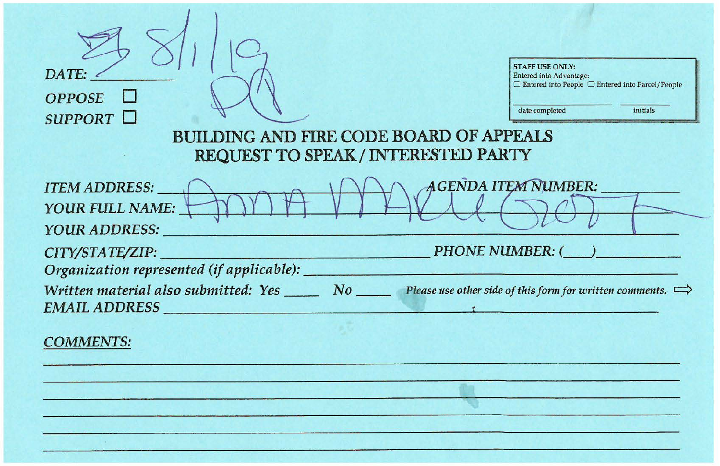| <b>STAFF USE ONLY:</b><br>DATE:<br>Entered into Advantage:<br>$\Box$ Entered into People $\Box$ Entered into Parcel/People<br><b>OPPOSE</b><br>date completed<br>initials<br>SUPPORT $\Box$<br><b>BUILDING AND FIRE CODE BOARD OF APPEALS</b><br>REQUEST TO SPEAK / INTERESTED PARTY |  |
|--------------------------------------------------------------------------------------------------------------------------------------------------------------------------------------------------------------------------------------------------------------------------------------|--|
| <b>AGENDA ITEM NUMBER:</b><br><b>ITEM ADDRESS:</b><br>YOUR FULL NAME:<br><b>YOUR ADDRESS:</b>                                                                                                                                                                                        |  |
| <b>PHONE NUMBER: (</b><br>CITY/STATE/ZIP:<br>Organization represented (if applicable): _                                                                                                                                                                                             |  |
| Written material also submitted: Yes $\Box$ No Please use other side of this form for written comments. $\Rightarrow$<br>EMAIL ADDRESS                                                                                                                                               |  |
| <b>COMMENTS:</b>                                                                                                                                                                                                                                                                     |  |
|                                                                                                                                                                                                                                                                                      |  |
|                                                                                                                                                                                                                                                                                      |  |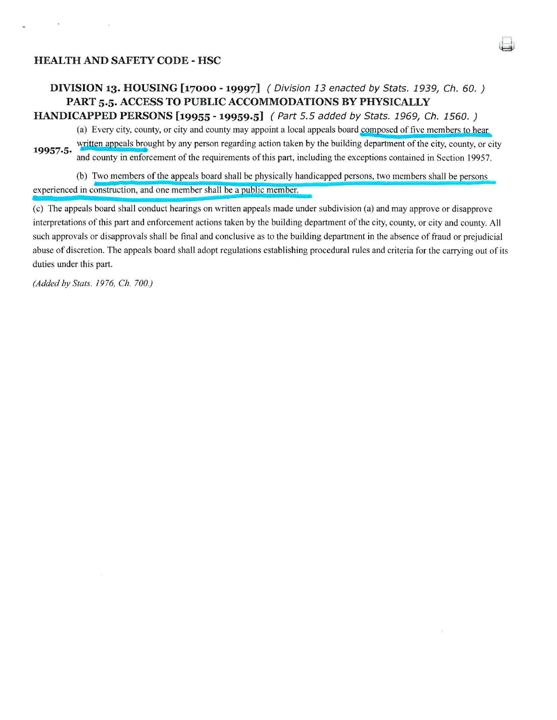## **HEALTH AND SAFETY CODE - HSC**

## **DIVISION 13. HOUSING [17000 - 19997]** *(* Division 13 enacted *by* Stats. 1939, Ch. 60.) **PART 5.5. ACCESS TO PUBLIC ACCOMMODATIONS BY PHYSICALLY**

**HANDICAPPED PERSONS [19955 - 19959.5]** *(* Part 5.5 added *by* Stats. 1969, Ch. 1560. )

(a) Every city, county, or city and county may appoint a local appeals board composed of five members to hear

19957.5. Written appeals brought by any person regarding action taken by the building department of the city, county, or city and county in enforcement of the requirements of this part, including the exceptions contained in Section 19957.

(b) Two members of the appeals board shall be physically handicapped persons, two members shall be ersons experienced in construction, and one member shall be a public member.

(c) The appeals board shall conduct hearings on written appeals made under subdivision (a) and may approve or disapprove interpretations of this part and enforcement actions taken by the building department of the city, county, or city and county. All such approvals or disapprovals shall be final and conclusive as to the building department in the absence of fraud or prejudicial abuse of discretion. The appeals board shall adopt regulations establishing procedural rules and criteria for the carrying out of its duties under this part.

*(Added by Stats. 1976, Ch. 700.)*